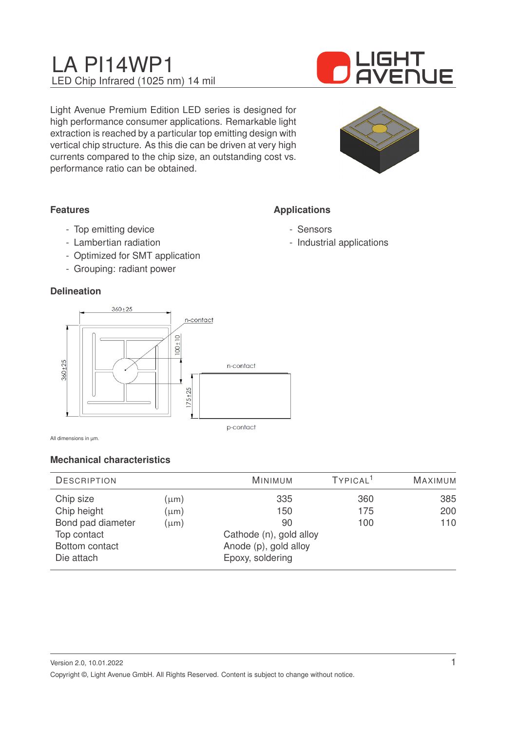

Light Avenue Premium Edition LED series is designed for high performance consumer applications. Remarkable light extraction is reached by a particular top emitting design with vertical chip structure. As this die can be driven at very high currents compared to the chip size, an outstanding cost vs. performance ratio can be obtained.



### **Features**

- Top emitting device
- Lambertian radiation
- Optimized for SMT application
- Grouping: radiant power

#### **Delineation**



All dimensions in µm.

### **Mechanical characteristics**

| <b>DESCRIPTION</b>                                                                           |                                     | <b>MINIMUM</b>                                                                           | TYPICAL <sup>1</sup> | <b>MAXIMUM</b>    |
|----------------------------------------------------------------------------------------------|-------------------------------------|------------------------------------------------------------------------------------------|----------------------|-------------------|
| Chip size<br>Chip height<br>Bond pad diameter<br>Top contact<br>Bottom contact<br>Die attach | $(\mu m)$<br>$(\mu m)$<br>$(\mu m)$ | 335<br>150<br>90<br>Cathode (n), gold alloy<br>Anode (p), gold alloy<br>Epoxy, soldering | 360<br>175<br>100    | 385<br>200<br>110 |

## **Applications**

- Sensors
- Industrial applications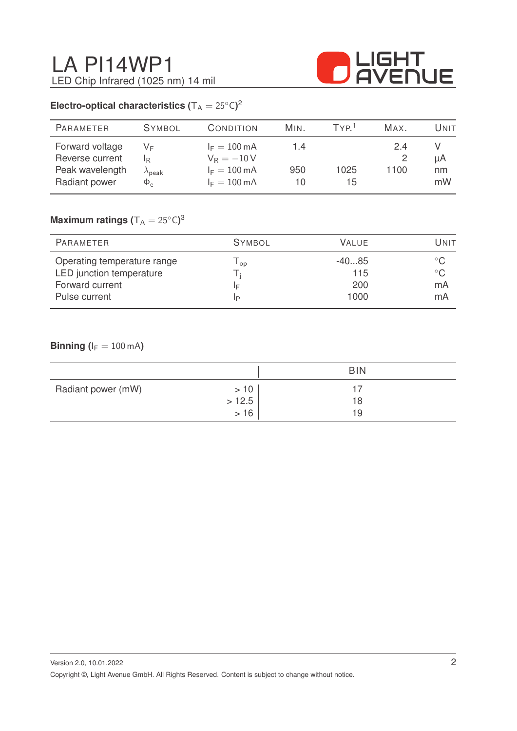

## **Electro-optical characteristics (** $T_A = 25^{\circ}C$ )<sup>2</sup>

| <b>PARAMETER</b>                                                       | <b>SYMBOL</b>                           | CONDITION                                                                                  | MIN.             | TYP <sup>1</sup> | MAX.       | Unit           |
|------------------------------------------------------------------------|-----------------------------------------|--------------------------------------------------------------------------------------------|------------------|------------------|------------|----------------|
| Forward voltage<br>Reverse current<br>Peak wavelength<br>Radiant power | V⊧<br>IR.<br>$\lambda$ peak<br>$\Phi_e$ | $I_F = 100 \text{ mA}$<br>$V_R = -10V$<br>$I_F = 100 \text{ mA}$<br>$I_F = 100 \text{ mA}$ | 1.4<br>950<br>10 | 1025<br>15       | 24<br>1100 | μA<br>nm<br>mW |

### $\mathsf{Maximum}$  ratings  $(\mathsf{T_A} = 25^\circ\mathsf{C})^3$

| PARAMETER                                   | <b>SYMBOL</b> | <b>VALUE</b> | UNIT               |
|---------------------------------------------|---------------|--------------|--------------------|
| Operating temperature range                 | l op          | $-4085$      | $^{\circ}$ C       |
| LED junction temperature<br>Forward current | ΙF            | 115<br>200   | $^{\circ}$ C<br>mA |
| Pulse current                               | IP            | 1000         | mA                 |

### **Binning (** $I_F = 100$  mA)

|                    |                    | <b>BIN</b> |  |
|--------------------|--------------------|------------|--|
| Radiant power (mW) | >10                | 18         |  |
|                    | $> 12.5$<br>$> 16$ | 19         |  |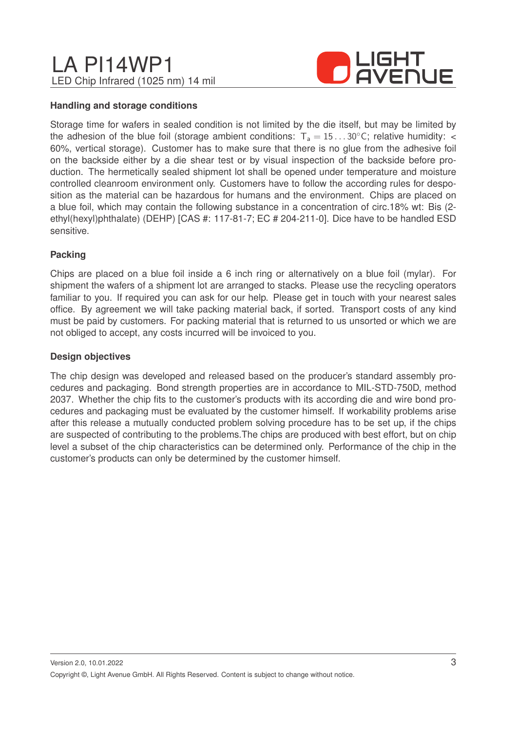

#### **Handling and storage conditions**

Storage time for wafers in sealed condition is not limited by the die itself, but may be limited by the adhesion of the blue foil (storage ambient conditions:  $T_a = 15...30^{\circ}$ C; relative humidity: < 60%, vertical storage). Customer has to make sure that there is no glue from the adhesive foil on the backside either by a die shear test or by visual inspection of the backside before production. The hermetically sealed shipment lot shall be opened under temperature and moisture controlled cleanroom environment only. Customers have to follow the according rules for desposition as the material can be hazardous for humans and the environment. Chips are placed on a blue foil, which may contain the following substance in a concentration of circ.18% wt: Bis (2 ethyl(hexyl)phthalate) (DEHP) [CAS #: 117-81-7; EC # 204-211-0]. Dice have to be handled ESD sensitive.

### **Packing**

Chips are placed on a blue foil inside a 6 inch ring or alternatively on a blue foil (mylar). For shipment the wafers of a shipment lot are arranged to stacks. Please use the recycling operators familiar to you. If required you can ask for our help. Please get in touch with your nearest sales office. By agreement we will take packing material back, if sorted. Transport costs of any kind must be paid by customers. For packing material that is returned to us unsorted or which we are not obliged to accept, any costs incurred will be invoiced to you.

#### **Design objectives**

The chip design was developed and released based on the producer's standard assembly procedures and packaging. Bond strength properties are in accordance to MIL-STD-750D, method 2037. Whether the chip fits to the customer's products with its according die and wire bond procedures and packaging must be evaluated by the customer himself. If workability problems arise after this release a mutually conducted problem solving procedure has to be set up, if the chips are suspected of contributing to the problems.The chips are produced with best effort, but on chip level a subset of the chip characteristics can be determined only. Performance of the chip in the customer's products can only be determined by the customer himself.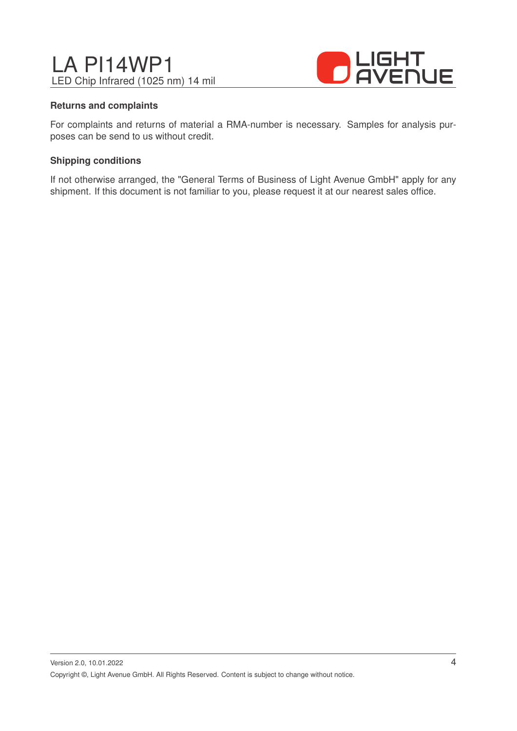

#### **Returns and complaints**

For complaints and returns of material a RMA-number is necessary. Samples for analysis purposes can be send to us without credit.

#### **Shipping conditions**

If not otherwise arranged, the "General Terms of Business of Light Avenue GmbH" apply for any shipment. If this document is not familiar to you, please request it at our nearest sales office.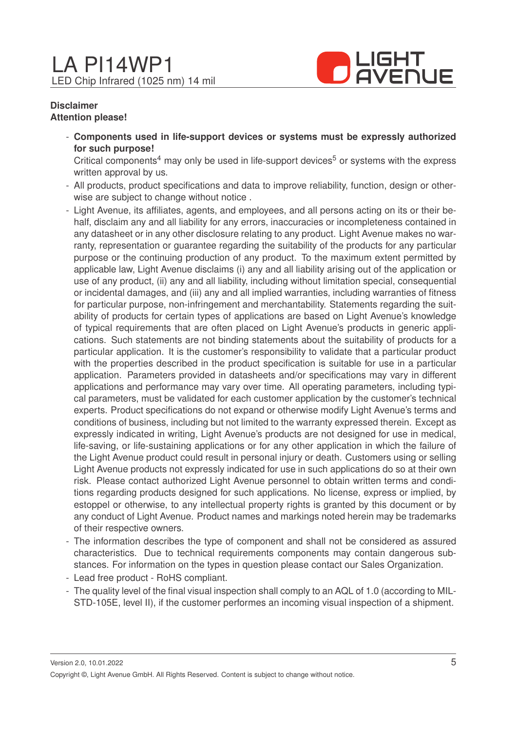

#### **Disclaimer Attention please!**

- **Components used in life-support devices or systems must be expressly authorized for such purpose!**

Critical components<sup>4</sup> may only be used in life-support devices<sup>5</sup> or systems with the express written approval by us.

- All products, product specifications and data to improve reliability, function, design or otherwise are subject to change without notice .
- Light Avenue, its affiliates, agents, and employees, and all persons acting on its or their behalf, disclaim any and all liability for any errors, inaccuracies or incompleteness contained in any datasheet or in any other disclosure relating to any product. Light Avenue makes no warranty, representation or guarantee regarding the suitability of the products for any particular purpose or the continuing production of any product. To the maximum extent permitted by applicable law, Light Avenue disclaims (i) any and all liability arising out of the application or use of any product, (ii) any and all liability, including without limitation special, consequential or incidental damages, and (iii) any and all implied warranties, including warranties of fitness for particular purpose, non-infringement and merchantability. Statements regarding the suitability of products for certain types of applications are based on Light Avenue's knowledge of typical requirements that are often placed on Light Avenue's products in generic applications. Such statements are not binding statements about the suitability of products for a particular application. It is the customer's responsibility to validate that a particular product with the properties described in the product specification is suitable for use in a particular application. Parameters provided in datasheets and/or specifications may vary in different applications and performance may vary over time. All operating parameters, including typical parameters, must be validated for each customer application by the customer's technical experts. Product specifications do not expand or otherwise modify Light Avenue's terms and conditions of business, including but not limited to the warranty expressed therein. Except as expressly indicated in writing, Light Avenue's products are not designed for use in medical, life-saving, or life-sustaining applications or for any other application in which the failure of the Light Avenue product could result in personal injury or death. Customers using or selling Light Avenue products not expressly indicated for use in such applications do so at their own risk. Please contact authorized Light Avenue personnel to obtain written terms and conditions regarding products designed for such applications. No license, express or implied, by estoppel or otherwise, to any intellectual property rights is granted by this document or by any conduct of Light Avenue. Product names and markings noted herein may be trademarks of their respective owners.
- The information describes the type of component and shall not be considered as assured characteristics. Due to technical requirements components may contain dangerous substances. For information on the types in question please contact our Sales Organization.
- Lead free product RoHS compliant.
- The quality level of the final visual inspection shall comply to an AQL of 1.0 (according to MIL-STD-105E, level II), if the customer performes an incoming visual inspection of a shipment.